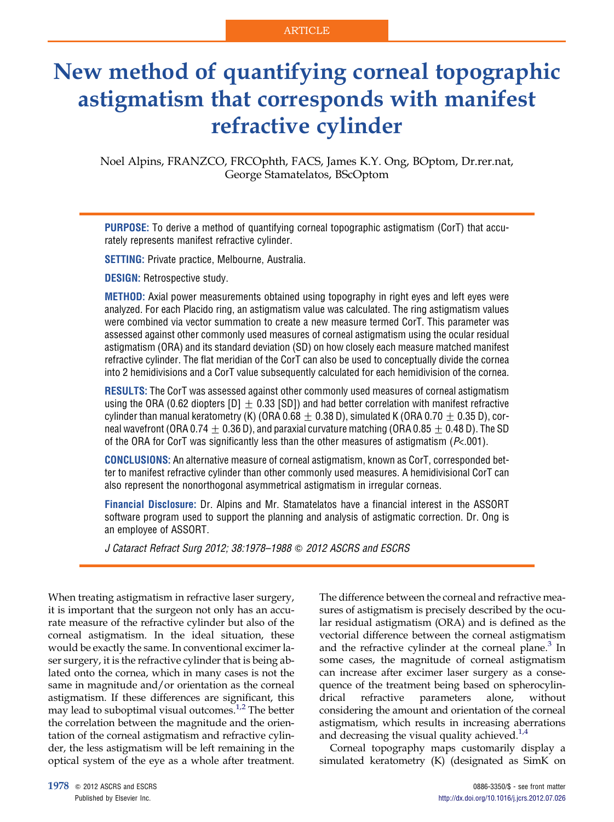# New method of quantifying corneal topographic astigmatism that corresponds with manifest refractive cylinder

Noel Alpins, FRANZCO, FRCOphth, FACS, James K.Y. Ong, BOptom, Dr.rer.nat, George Stamatelatos, BScOptom

PURPOSE: To derive a method of quantifying corneal topographic astigmatism (CorT) that accurately represents manifest refractive cylinder.

SETTING: Private practice, Melbourne, Australia.

DESIGN: Retrospective study.

METHOD: Axial power measurements obtained using topography in right eyes and left eyes were analyzed. For each Placido ring, an astigmatism value was calculated. The ring astigmatism values were combined via vector summation to create a new measure termed CorT. This parameter was assessed against other commonly used measures of corneal astigmatism using the ocular residual astigmatism (ORA) and its standard deviation (SD) on how closely each measure matched manifest refractive cylinder. The flat meridian of the CorT can also be used to conceptually divide the cornea into 2 hemidivisions and a CorT value subsequently calculated for each hemidivision of the cornea.

RESULTS: The CorT was assessed against other commonly used measures of corneal astigmatism using the ORA (0.62 diopters [D]  $\pm$  0.33 [SD]) and had better correlation with manifest refractive cylinder than manual keratometry (K) (ORA 0.68  $\pm$  0.38 D), simulated K (ORA 0.70  $\pm$  0.35 D), corneal wavefront (ORA 0.74  $\pm$  0.36 D), and paraxial curvature matching (ORA 0.85  $\pm$  0.48 D). The SD of the ORA for CorT was significantly less than the other measures of astigmatism ( $P<.001$ ).

CONCLUSIONS: An alternative measure of corneal astigmatism, known as CorT, corresponded better to manifest refractive cylinder than other commonly used measures. A hemidivisional CorT can also represent the nonorthogonal asymmetrical astigmatism in irregular corneas.

Financial Disclosure: Dr. Alpins and Mr. Stamatelatos have a financial interest in the ASSORT software program used to support the planning and analysis of astigmatic correction. Dr. Ong is an employee of ASSORT.

J Cataract Refract Surg 2012; 38:1978–1988 Q 2012 ASCRS and ESCRS

When treating astigmatism in refractive laser surgery, it is important that the surgeon not only has an accurate measure of the refractive cylinder but also of the corneal astigmatism. In the ideal situation, these would be exactly the same. In conventional excimer laser surgery, it is the refractive cylinder that is being ablated onto the cornea, which in many cases is not the same in magnitude and/or orientation as the corneal astigmatism. If these differences are significant, this may lead to suboptimal visual outcomes.<sup>[1,2](#page-10-0)</sup> The better the correlation between the magnitude and the orientation of the corneal astigmatism and refractive cylinder, the less astigmatism will be left remaining in the optical system of the eye as a whole after treatment.

The difference between the corneal and refractive measures of astigmatism is precisely described by the ocular residual astigmatism (ORA) and is defined as the vectorial difference between the corneal astigmatism and the refractive cylinder at the corneal plane. $3$  In some cases, the magnitude of corneal astigmatism can increase after excimer laser surgery as a consequence of the treatment being based on spherocylindrical refractive parameters alone, without considering the amount and orientation of the corneal astigmatism, which results in increasing aberrations and decreasing the visual quality achieved. $1/4$ 

Corneal topography maps customarily display a simulated keratometry (K) (designated as SimK on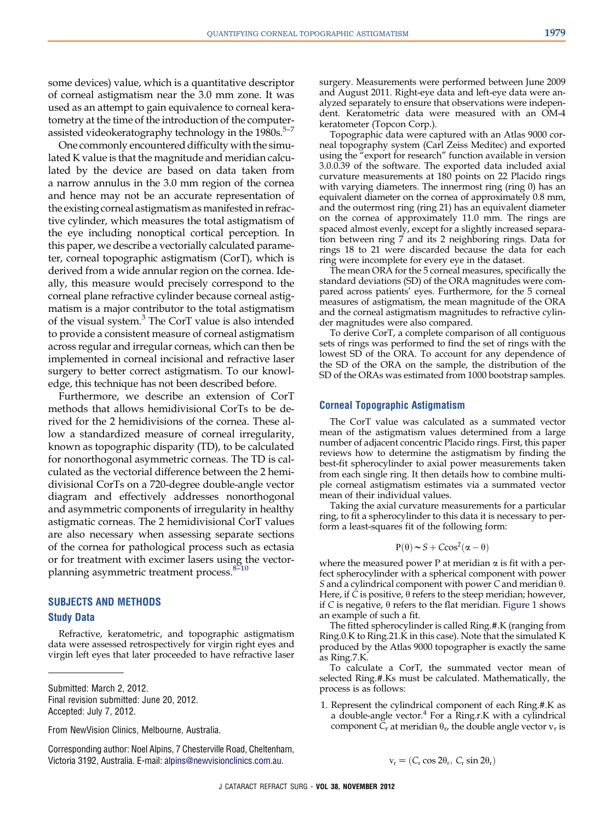some devices) value, which is a quantitative descriptor of corneal astigmatism near the 3.0 mm zone. It was used as an attempt to gain equivalence to corneal keratometry at the time of the introduction of the computerassisted videokeratography technology in the  $1980s$ .<sup>5-7</sup>

One commonly encountered difficulty with the simulated K value is that the magnitude and meridian calculated by the device are based on data taken from a narrow annulus in the 3.0 mm region of the cornea and hence may not be an accurate representation of the existing corneal astigmatism as manifested in refractive cylinder, which measures the total astigmatism of the eye including nonoptical cortical perception. In this paper, we describe a vectorially calculated parameter, corneal topographic astigmatism (CorT), which is derived from a wide annular region on the cornea. Ideally, this measure would precisely correspond to the corneal plane refractive cylinder because corneal astigmatism is a major contributor to the total astigmatism of the visual system.<sup>3</sup> The CorT value is also intended to provide a consistent measure of corneal astigmatism across regular and irregular corneas, which can then be implemented in corneal incisional and refractive laser surgery to better correct astigmatism. To our knowledge, this technique has not been described before.

Furthermore, we describe an extension of CorT methods that allows hemidivisional CorTs to be derived for the 2 hemidivisions of the cornea. These allow a standardized measure of corneal irregularity, known as topographic disparity (TD), to be calculated for nonorthogonal asymmetric corneas. The TD is calculated as the vectorial difference between the 2 hemidivisional CorTs on a 720-degree double-angle vector diagram and effectively addresses nonorthogonal and asymmetric components of irregularity in healthy astigmatic corneas. The 2 hemidivisional CorT values are also necessary when assessing separate sections of the cornea for pathological process such as ectasia or for treatment with excimer lasers using the vector-planning asymmetric treatment process.<sup>8-[10](#page-10-0)</sup>

## SUBJECTS AND METHODS Study Data

Refractive, keratometric, and topographic astigmatism data were assessed retrospectively for virgin right eyes and virgin left eyes that later proceeded to have refractive laser

Submitted: March 2, 2012. Final revision submitted: June 20, 2012. Accepted: July 7, 2012.

From NewVision Clinics, Melbourne, Australia.

Corresponding author: Noel Alpins, 7 Chesterville Road, Cheltenham, Victoria 3192, Australia. E-mail: [alpins@newvisionclinics.com.au.](mailto:alpins@newvisionclinics.com.au)

surgery. Measurements were performed between June 2009 and August 2011. Right-eye data and left-eye data were analyzed separately to ensure that observations were independent. Keratometric data were measured with an OM-4 keratometer (Topcon Corp.).

Topographic data were captured with an Atlas 9000 corneal topography system (Carl Zeiss Meditec) and exported using the "export for research" function available in version 3.0.0.39 of the software. The exported data included axial curvature measurements at 180 points on 22 Placido rings with varying diameters. The innermost ring (ring 0) has an equivalent diameter on the cornea of approximately 0.8 mm, and the outermost ring (ring 21) has an equivalent diameter on the cornea of approximately 11.0 mm. The rings are spaced almost evenly, except for a slightly increased separation between ring 7 and its 2 neighboring rings. Data for rings 18 to 21 were discarded because the data for each ring were incomplete for every eye in the dataset.

The mean ORA for the 5 corneal measures, specifically the standard deviations (SD) of the ORA magnitudes were compared across patients' eyes. Furthermore, for the 5 corneal measures of astigmatism, the mean magnitude of the ORA and the corneal astigmatism magnitudes to refractive cylinder magnitudes were also compared.

To derive CorT, a complete comparison of all contiguous sets of rings was performed to find the set of rings with the lowest SD of the ORA. To account for any dependence of the SD of the ORA on the sample, the distribution of the SD of the ORAs was estimated from 1000 bootstrap samples.

#### Corneal Topographic Astigmatism

The CorT value was calculated as a summated vector mean of the astigmatism values determined from a large number of adjacent concentric Placido rings. First, this paper reviews how to determine the astigmatism by finding the best-fit spherocylinder to axial power measurements taken from each single ring. It then details how to combine multiple corneal astigmatism estimates via a summated vector mean of their individual values.

Taking the axial curvature measurements for a particular ring, to fit a spherocylinder to this data it is necessary to perform a least-squares fit of the following form:

$$
P(\theta) \sim S + C\cos^2(\alpha - \theta)
$$

where the measured power P at meridian  $\alpha$  is fit with a perfect spherocylinder with a spherical component with power S and a cylindrical component with power C and meridian  $\theta$ . Here, if C is positive,  $\theta$  refers to the steep meridian; however, if C is negative,  $\theta$  refers to the flat meridian. [Figure 1](#page-2-0) shows an example of such a fit.

The fitted spherocylinder is called Ring.#.K (ranging from Ring.0.K to Ring.21.K in this case). Note that the simulated K produced by the Atlas 9000 topographer is exactly the same as Ring.7.K.

To calculate a CorT, the summated vector mean of selected Ring.#.Ks must be calculated. Mathematically, the process is as follows:

1. Represent the cylindrical component of each Ring.#.K as a double-angle vector. $4$  For a Ring.r.K with a cylindrical component  $\widetilde{C}_r$  at meridian  $\theta_{rr}$  the double angle vector  $v_r$  is

$$
v_r = (C_r \cos 2\theta_r, C_r \sin 2\theta_r)
$$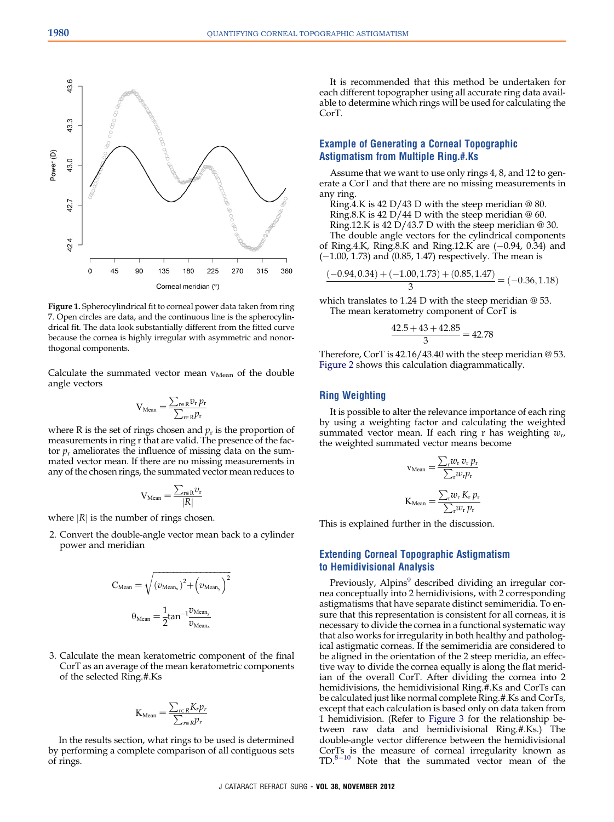<span id="page-2-0"></span>

Figure 1. Spherocylindrical fit to corneal power data taken from ring 7. Open circles are data, and the continuous line is the spherocylindrical fit. The data look substantially different from the fitted curve because the cornea is highly irregular with asymmetric and nonorthogonal components.

Calculate the summated vector mean  $v_{Mean}$  of the double angle vectors

$$
V_{Mean} = \frac{\sum_{r \in R} v_r p_r}{\sum_{r \in R} p_r}
$$

where R is the set of rings chosen and  $p_r$  is the proportion of measurements in ring r that are valid. The presence of the factor  $p_r$  ameliorates the influence of missing data on the summated vector mean. If there are no missing measurements in any of the chosen rings, the summated vector mean reduces to

$$
V_{Mean} = \frac{\sum_{r \in R} v_r}{|R|}
$$

where  $|R|$  is the number of rings chosen.

2. Convert the double-angle vector mean back to a cylinder power and meridian

$$
C_{Mean} = \sqrt{(\upsilon_{Mean_x})^2 + \left(\upsilon_{Mean_y}\right)^2}
$$

$$
\theta_{Mean} = \frac{1}{2} \tan^{-1} \frac{\upsilon_{Mean_y}}{\upsilon_{Mean_x}}
$$

3. Calculate the mean keratometric component of the final CorT as an average of the mean keratometric components of the selected Ring.#.Ks

$$
K_{Mean} = \frac{\sum_{r \in R} K_r p_r}{\sum_{r \in R} p_r}
$$

In the results section, what rings to be used is determined by performing a complete comparison of all contiguous sets of rings.

It is recommended that this method be undertaken for each different topographer using all accurate ring data available to determine which rings will be used for calculating the CorT.

## Example of Generating a Corneal Topographic Astigmatism from Multiple Ring.#.Ks

Assume that we want to use only rings 4, 8, and 12 to generate a CorT and that there are no missing measurements in any ring.

Ring.4.K is 42 D/43 D with the steep meridian @ 80. Ring.8.K is  $42 \text{ D}/44 \text{ D}$  with the steep meridian  $@60$ . Ring.12.K is 42 D/43.7 D with the steep meridian @ 30. The double angle vectors for the cylindrical components

of Ring.4.K, Ring.8.K and Ring.12.K are  $(-0.94, 0.34)$  and (-1.00, 1.73) and (0.85, 1.47) respectively. The mean is

$$
\frac{(-0.94, 0.34) + (-1.00, 1.73) + (0.85, 1.47)}{3} = (-0.36, 1.18)
$$

which translates to 1.24 D with the steep meridian @ 53. The mean keratometry component of CorT is

$$
\frac{42.5 + 43 + 42.85}{3} = 42.78
$$

Therefore, CorT is 42.16/43.40 with the steep meridian @ 53. [Figure 2](#page-3-0) shows this calculation diagrammatically.

#### Ring Weighting

It is possible to alter the relevance importance of each ring by using a weighting factor and calculating the weighted summated vector mean. If each ring r has weighting  $w_{\nu}$ , the weighted summated vector means become

$$
v_{\text{Mean}} = \frac{\sum_{r} w_{r} v_{r} p_{r}}{\sum_{r} w_{r} p_{r}}
$$

$$
K_{\text{Mean}} = \frac{\sum_{r} w_{r} K_{r} p_{r}}{\sum_{r} w_{r} p_{r}}
$$

This is explained further in the discussion.

## Extending Corneal Topographic Astigmatism to Hemidivisional Analysis

Previously, Alpins<sup>[9](#page-10-0)</sup> described dividing an irregular cornea conceptually into 2 hemidivisions, with 2 corresponding astigmatisms that have separate distinct semimeridia. To ensure that this representation is consistent for all corneas, it is necessary to divide the cornea in a functional systematic way that also works for irregularity in both healthy and pathological astigmatic corneas. If the semimeridia are considered to be aligned in the orientation of the 2 steep meridia, an effective way to divide the cornea equally is along the flat meridian of the overall CorT. After dividing the cornea into 2 hemidivisions, the hemidivisional Ring.#.Ks and CorTs can be calculated just like normal complete Ring.#.Ks and CorTs, except that each calculation is based only on data taken from 1 hemidivision. (Refer to [Figure 3](#page-4-0) for the relationship between raw data and hemidivisional Ring.#.Ks.) The double-angle vector difference between the hemidivisional CorTs is the measure of corneal irregularity known as TD.<sup>[8](#page-10-0)-[10](#page-10-0)</sup> Note that the summated vector mean of the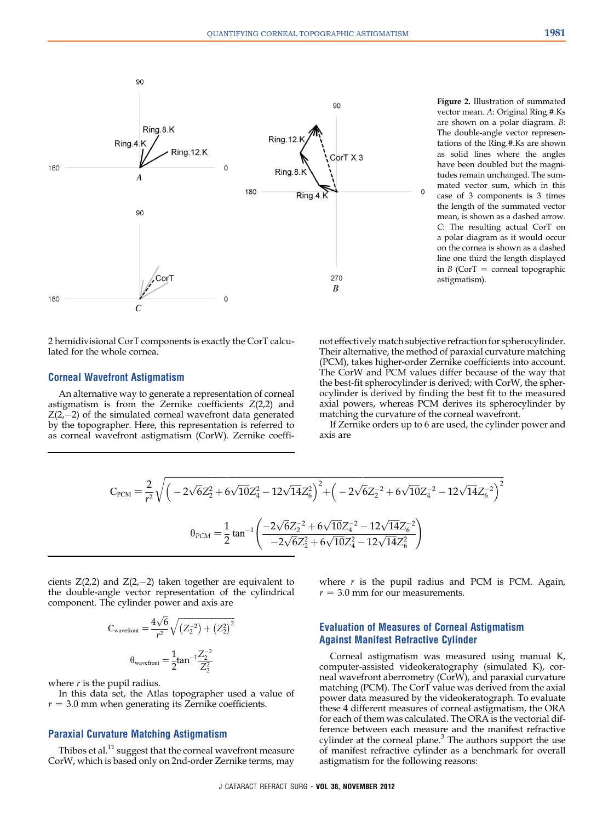<span id="page-3-0"></span>

2 hemidivisional CorT components is exactly the CorT calculated for the whole cornea.

#### Corneal Wavefront Astigmatism

An alternative way to generate a representation of corneal astigmatism is from the Zernike coefficients  $Z(2,2)$  and  $Z(2,-2)$  of the simulated corneal wavefront data generated by the topographer. Here, this representation is referred to as corneal wavefront astigmatism (CorW). Zernike coeffi-

Figure 2. Illustration of summated vector mean. A: Original Ring.#.Ks are shown on a polar diagram. B: The double-angle vector representations of the Ring.#.Ks are shown as solid lines where the angles have been doubled but the magnitudes remain unchanged. The summated vector sum, which in this case of 3 components is 3 times the length of the summated vector mean, is shown as a dashed arrow. C: The resulting actual CorT on a polar diagram as it would occur on the cornea is shown as a dashed line one third the length displayed in  $B$  (CorT = corneal topographic astigmatism).

not effectively match subjective refraction for spherocylinder. Their alternative, the method of paraxial curvature matching (PCM), takes higher-order Zernike coefficients into account. The CorW and PCM values differ because of the way that the best-fit spherocylinder is derived; with CorW, the spherocylinder is derived by finding the best fit to the measured axial powers, whereas PCM derives its spherocylinder by matching the curvature of the corneal wavefront.

If Zernike orders up to 6 are used, the cylinder power and axis are

$$
C_{\text{PCM}} = \frac{2}{r^2} \sqrt{\left(-2\sqrt{6}Z_2^2 + 6\sqrt{10}Z_4^2 - 12\sqrt{14}Z_6^2\right)^2 + \left(-2\sqrt{6}Z_2^{-2} + 6\sqrt{10}Z_4^{-2} - 12\sqrt{14}Z_6^{-2}\right)^2}
$$

$$
\theta_{\text{PCM}} = \frac{1}{2} \tan^{-1} \left(\frac{-2\sqrt{6}Z_2^{-2} + 6\sqrt{10}Z_4^{-2} - 12\sqrt{14}Z_6^{-2}}{-2\sqrt{6}Z_2^2 + 6\sqrt{10}Z_4^2 - 12\sqrt{14}Z_6^2}\right)
$$

cients Z(2,2) and Z(2,-2) taken together are equivalent to the double-angle vector representation of the cylindrical component. The cylinder power and axis are

$$
C_{\text{wavefront}} = \frac{4\sqrt{6}}{r^2} \sqrt{(Z_2^{-2}) + (Z_2^2)^2}
$$

$$
\theta_{\text{wavefront}} = \frac{1}{2} \tan^{-1} \frac{Z_2^{-2}}{Z_2^2}
$$

where  $r$  is the pupil radius.

In this data set, the Atlas topographer used a value of  $r = 3.0$  mm when generating its Zernike coefficients.

#### Paraxial Curvature Matching Astigmatism

Thibos et al.<sup>[11](#page-10-0)</sup> suggest that the corneal wavefront measure CorW, which is based only on 2nd-order Zernike terms, may where  $r$  is the pupil radius and PCM is PCM. Again,  $r = 3.0$  mm for our measurements.

## Evaluation of Measures of Corneal Astigmatism Against Manifest Refractive Cylinder

Corneal astigmatism was measured using manual K, computer-assisted videokeratography (simulated K), corneal wavefront aberrometry (CorW), and paraxial curvature matching (PCM). The CorT value was derived from the axial power data measured by the videokeratograph. To evaluate these 4 different measures of corneal astigmatism, the ORA for each of them was calculated. The ORA is the vectorial difference between each measure and the manifest refractive cylinder at the corneal plane.<sup>3</sup> The authors support the use of manifest refractive cylinder as a benchmark for overall astigmatism for the following reasons: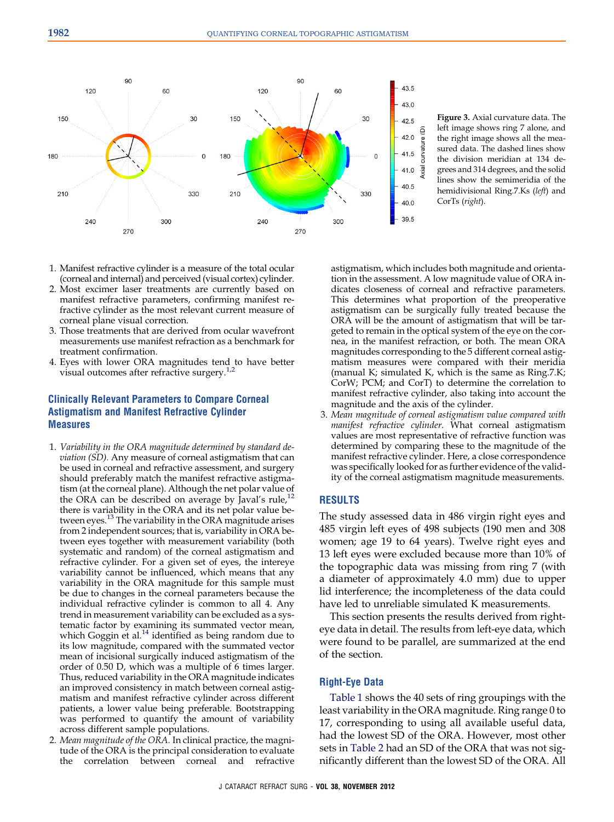<span id="page-4-0"></span>

Figure 3. Axial curvature data. The left image shows ring 7 alone, and the right image shows all the measured data. The dashed lines show the division meridian at 134 degrees and 314 degrees, and the solid lines show the semimeridia of the hemidivisional Ring.7.Ks (left) and CorTs (right).

- 1. Manifest refractive cylinder is a measure of the total ocular (corneal and internal) and perceived (visual cortex) cylinder.
- 2. Most excimer laser treatments are currently based on manifest refractive parameters, confirming manifest refractive cylinder as the most relevant current measure of corneal plane visual correction.
- 3. Those treatments that are derived from ocular wavefront measurements use manifest refraction as a benchmark for treatment confirmation.
- 4. Eyes with lower ORA magnitudes tend to have better visual outcomes after refractive surgery. $1.2$

## Clinically Relevant Parameters to Compare Corneal Astigmatism and Manifest Refractive Cylinder Measures

- 1. Variability in the ORA magnitude determined by standard deviation (SD). Any measure of corneal astigmatism that can be used in corneal and refractive assessment, and surgery should preferably match the manifest refractive astigmatism (at the corneal plane). Although the net polar value of the ORA can be described on average by  $\tilde{J}$ aval's rule,<sup>[12](#page-10-0)</sup> there is variability in the ORA and its net polar value be-tween eyes.<sup>[13](#page-10-0)</sup> The variability in the ORA magnitude arises from 2 independent sources; that is, variability in ORA between eyes together with measurement variability (both systematic and random) of the corneal astigmatism and refractive cylinder. For a given set of eyes, the intereye variability cannot be influenced, which means that any variability in the ORA magnitude for this sample must be due to changes in the corneal parameters because the individual refractive cylinder is common to all 4. Any trend in measurement variability can be excluded as a systematic factor by examining its summated vector mean, which Goggin et al.<sup>[14](#page-10-0)</sup> identified as being random due to its low magnitude, compared with the summated vector mean of incisional surgically induced astigmatism of the order of 0.50 D, which was a multiple of 6 times larger. Thus, reduced variability in the ORA magnitude indicates an improved consistency in match between corneal astigmatism and manifest refractive cylinder across different patients, a lower value being preferable. Bootstrapping was performed to quantify the amount of variability across different sample populations.
- 2. Mean magnitude of the ORA. In clinical practice, the magnitude of the ORA is the principal consideration to evaluate the correlation between corneal and refractive

astigmatism, which includes both magnitude and orientation in the assessment. A low magnitude value of ORA indicates closeness of corneal and refractive parameters. This determines what proportion of the preoperative astigmatism can be surgically fully treated because the ORA will be the amount of astigmatism that will be targeted to remain in the optical system of the eye on the cornea, in the manifest refraction, or both. The mean ORA magnitudes corresponding to the 5 different corneal astigmatism measures were compared with their meridia (manual K; simulated K, which is the same as Ring.7.K; CorW; PCM; and CorT) to determine the correlation to manifest refractive cylinder, also taking into account the magnitude and the axis of the cylinder.

3. Mean magnitude of corneal astigmatism value compared with manifest refractive cylinder. What corneal astigmatism values are most representative of refractive function was determined by comparing these to the magnitude of the manifest refractive cylinder. Here, a close correspondence was specifically looked for as further evidence of the validity of the corneal astigmatism magnitude measurements.

## RESULTS

The study assessed data in 486 virgin right eyes and 485 virgin left eyes of 498 subjects (190 men and 308 women; age 19 to 64 years). Twelve right eyes and 13 left eyes were excluded because more than 10% of the topographic data was missing from ring 7 (with a diameter of approximately 4.0 mm) due to upper lid interference; the incompleteness of the data could have led to unreliable simulated K measurements.

This section presents the results derived from righteye data in detail. The results from left-eye data, which were found to be parallel, are summarized at the end of the section.

#### Right-Eye Data

[Table 1](#page-5-0) shows the 40 sets of ring groupings with the least variability in the ORA magnitude. Ring range 0 to 17, corresponding to using all available useful data, had the lowest SD of the ORA. However, most other sets in [Table 2](#page-5-0) had an SD of the ORA that was not significantly different than the lowest SD of the ORA. All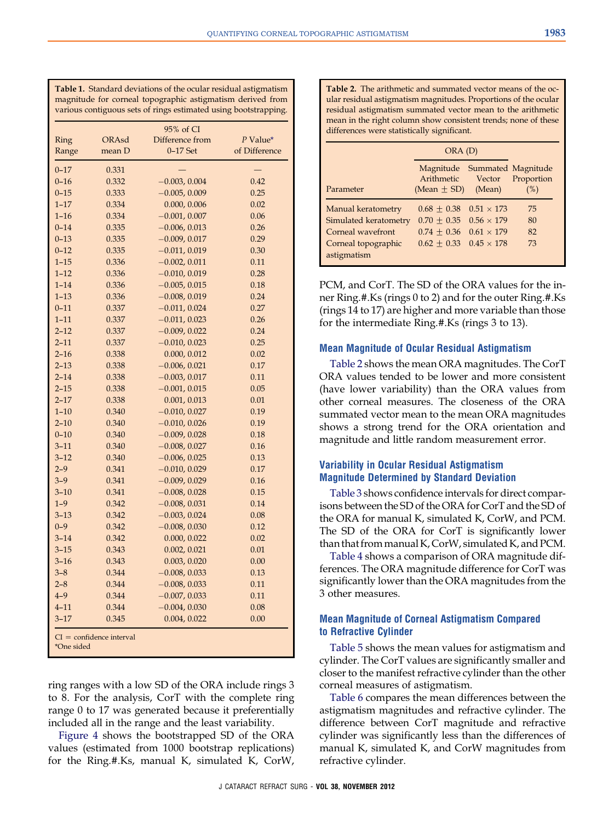<span id="page-5-0"></span>Table 1. Standard deviations of the ocular residual astigmatism magnitude for corneal topographic astigmatism derived from various contiguous sets of rings estimated using bootstrapping.

|          |        | 95% of CI       |               |
|----------|--------|-----------------|---------------|
| Ring     | ORAsd  | Difference from | P Value*      |
| Range    | mean D | $0-17$ Set      | of Difference |
| $0 - 17$ | 0.331  |                 |               |
| $0 - 16$ | 0.332  | $-0.003, 0.004$ | 0.42          |
| $0 - 15$ | 0.333  | $-0.005, 0.009$ | 0.25          |
| $1 - 17$ | 0.334  | 0.000, 0.006    | 0.02          |
| $1 - 16$ | 0.334  | $-0.001, 0.007$ | 0.06          |
| $0 - 14$ | 0.335  | $-0.006, 0.013$ | 0.26          |
| $0 - 13$ | 0.335  | $-0.009, 0.017$ | 0.29          |
| $0 - 12$ | 0.335  | $-0.011, 0.019$ | 0.30          |
| $1 - 15$ | 0.336  | $-0.002, 0.011$ | 0.11          |
| $1 - 12$ | 0.336  | $-0.010, 0.019$ | 0.28          |
| $1 - 14$ | 0.336  | $-0.005, 0.015$ | 0.18          |
| $1 - 13$ | 0.336  | $-0.008, 0.019$ | 0.24          |
| $0 - 11$ | 0.337  | $-0.011, 0.024$ | 0.27          |
| $1 - 11$ | 0.337  | $-0.011, 0.023$ | 0.26          |
| $2 - 12$ | 0.337  | $-0.009, 0.022$ | 0.24          |
| $2 - 11$ | 0.337  | $-0.010, 0.023$ | 0.25          |
| $2 - 16$ | 0.338  | 0.000, 0.012    | 0.02          |
| $2 - 13$ | 0.338  | $-0.006, 0.021$ | 0.17          |
| $2 - 14$ | 0.338  | $-0.003, 0.017$ | 0.11          |
| $2 - 15$ | 0.338  | $-0.001, 0.015$ | 0.05          |
| $2 - 17$ | 0.338  | 0.001, 0.013    | 0.01          |
| $1 - 10$ | 0.340  | $-0.010, 0.027$ | 0.19          |
| $2 - 10$ | 0.340  | $-0.010, 0.026$ | 0.19          |
| $0 - 10$ | 0.340  | $-0.009, 0.028$ | 0.18          |
| $3 - 11$ | 0.340  | $-0.008, 0.027$ | 0.16          |
| $3 - 12$ | 0.340  | $-0.006, 0.025$ | 0.13          |
| $2 - 9$  | 0.341  | $-0.010, 0.029$ | 0.17          |
| $3 - 9$  | 0.341  | $-0.009, 0.029$ | 0.16          |
| $3 - 10$ | 0.341  | $-0.008, 0.028$ | 0.15          |
| $1 - 9$  | 0.342  | $-0.008, 0.031$ | 0.14          |
| $3 - 13$ | 0.342  | $-0.003, 0.024$ | 0.08          |
| $0 - 9$  | 0.342  | $-0.008, 0.030$ | 0.12          |
| $3 - 14$ | 0.342  | 0.000, 0.022    | 0.02          |
| $3 - 15$ | 0.343  | 0.002, 0.021    | 0.01          |
| $3 - 16$ | 0.343  | 0.003, 0.020    | 0.00          |
| $3 - 8$  | 0.344  | $-0.008, 0.033$ | 0.13          |
| $2 - 8$  | 0.344  | $-0.008, 0.033$ | 0.11          |
| $4 - 9$  | 0.344  | $-0.007, 0.033$ | 0.11          |
| $4 - 11$ | 0.344  | $-0.004, 0.030$ | 0.08          |
| $3 - 17$ | 0.345  | 0.004, 0.022    | 0.00          |

ring ranges with a low SD of the ORA include rings 3 to 8. For the analysis, CorT with the complete ring range 0 to 17 was generated because it preferentially included all in the range and the least variability.

[Figure 4](#page-6-0) shows the bootstrapped SD of the ORA values (estimated from 1000 bootstrap replications) for the Ring.#.Ks, manual K, simulated K, CorW,

Table 2. The arithmetic and summated vector means of the ocular residual astigmatism magnitudes. Proportions of the ocular residual astigmatism summated vector mean to the arithmetic mean in the right column show consistent trends; none of these differences were statistically significant.

|                       | ORA (D)                                           |        |                                         |
|-----------------------|---------------------------------------------------|--------|-----------------------------------------|
| Parameter             | Magnitude<br>Arithmetic<br>(Mean $\pm$ SD) (Mean) | Vector | Summated Magnitude<br>Proportion<br>(%) |
| Manual keratometry    | $0.68 \pm 0.38$ $0.51 \times 173$                 |        | 75                                      |
| Simulated keratometry | $0.70 \pm 0.35$ $0.56 \times 179$                 |        | 80                                      |
| Corneal wavefront     | $0.74 + 0.36$ $0.61 \times 179$                   |        | 82                                      |
| Corneal topographic   | $0.62 \pm 0.33$ $0.45 \times 178$                 |        | 73                                      |
| astigmatism           |                                                   |        |                                         |

PCM, and CorT. The SD of the ORA values for the inner Ring.#.Ks (rings 0 to 2) and for the outer Ring.#.Ks (rings 14 to 17) are higher and more variable than those for the intermediate Ring.#.Ks (rings 3 to 13).

#### Mean Magnitude of Ocular Residual Astigmatism

Table 2 shows the mean ORA magnitudes. The CorT ORA values tended to be lower and more consistent (have lower variability) than the ORA values from other corneal measures. The closeness of the ORA summated vector mean to the mean ORA magnitudes shows a strong trend for the ORA orientation and magnitude and little random measurement error.

## Variability in Ocular Residual Astigmatism Magnitude Determined by Standard Deviation

[Table 3](#page-6-0) shows confidence intervals for direct comparisons between the SD of the ORA for CorT and the SD of the ORA for manual K, simulated K, CorW, and PCM. The SD of the ORA for CorT is significantly lower than that frommanual K, CorW, simulated K, and PCM.

[Table 4](#page-6-0) shows a comparison of ORA magnitude differences. The ORA magnitude difference for CorT was significantly lower than the ORA magnitudes from the 3 other measures.

## Mean Magnitude of Corneal Astigmatism Compared to Refractive Cylinder

[Table 5](#page-7-0) shows the mean values for astigmatism and cylinder. The CorT values are significantly smaller and closer to the manifest refractive cylinder than the other corneal measures of astigmatism.

[Table 6](#page-7-0) compares the mean differences between the astigmatism magnitudes and refractive cylinder. The difference between CorT magnitude and refractive cylinder was significantly less than the differences of manual K, simulated K, and CorW magnitudes from refractive cylinder.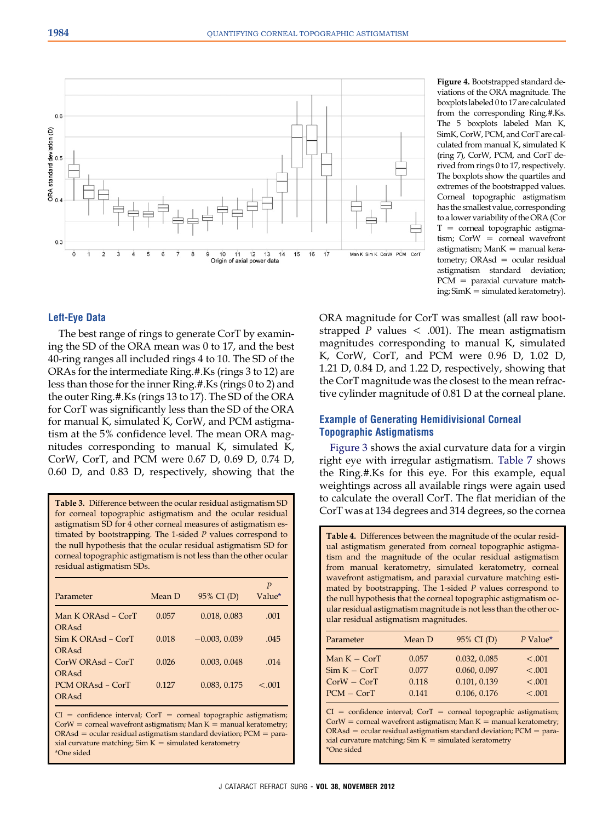<span id="page-6-0"></span>

Figure 4. Bootstrapped standard deviations of the ORA magnitude. The boxplotslabeled 0 to 17 are calculated from the corresponding Ring.#.Ks. The 5 boxplots labeled Man K, SimK, CorW, PCM, and CorT are calculated from manual K, simulated K (ring 7), CorW, PCM, and CorT derived from rings 0 to 17, respectively. The boxplots show the quartiles and extremes of the bootstrapped values. Corneal topographic astigmatism has the smallest value, corresponding to a lower variability of the ORA (Cor  $T =$  corneal topographic astigmatism:  $CorW = corneal wavefront$ astigmatism;  $Mank =$  manual keratometry;  $ORAsd = \alpha$  ocular residual astigmatism standard deviation;  $PCM =$  paraxial curvature match $ing: SimK = simulated keratomicity$ ).

#### Left-Eye Data

The best range of rings to generate CorT by examining the SD of the ORA mean was 0 to 17, and the best 40-ring ranges all included rings 4 to 10. The SD of the ORAs for the intermediate Ring.#.Ks (rings 3 to 12) are less than those for the inner Ring.#.Ks (rings 0 to 2) and the outer Ring.#.Ks (rings 13 to 17). The SD of the ORA for CorT was significantly less than the SD of the ORA for manual K, simulated K, CorW, and PCM astigmatism at the 5% confidence level. The mean ORA magnitudes corresponding to manual K, simulated K, CorW, CorT, and PCM were 0.67 D, 0.69 D, 0.74 D, 0.60 D, and 0.83 D, respectively, showing that the

Table 3. Difference between the ocular residual astigmatism SD for corneal topographic astigmatism and the ocular residual astigmatism SD for 4 other corneal measures of astigmatism estimated by bootstrapping. The 1-sided P values correspond to the null hypothesis that the ocular residual astigmatism SD for corneal topographic astigmatism is not less than the other ocular residual astigmatism SDs.

| Parameter                     | Mean D | 95% CI (D)      | P<br>Value* |
|-------------------------------|--------|-----------------|-------------|
| Man K ORAsd - CorT<br>ORAsd   | 0.057  | 0.018, 0.083    | .001        |
| $Sim K ORAsd - CorT$<br>ORAsd | 0.018  | $-0.003, 0.039$ | .045        |
| $CorWORAsd - CorT$<br>ORAsd   | 0.026  | 0.003, 0.048    | .014        |
| PCM ORAsd - CorT<br>ORAsd     | 0.127  | 0.083, 0.175    | < 0.01      |

 $CI = confidence$  interval; CorT = corneal topographic astigmatism;  $CorW = corneal wavefront$  astigmatism; Man  $K =$  manual keratometry;  $ORAsd = ocular residual astigmatism standard deviation;  $PCM = para$$ xial curvature matching; Sim  $K =$  simulated keratometry \*One sided

ORA magnitude for CorT was smallest (all raw bootstrapped P values  $\lt$  .001). The mean astigmatism magnitudes corresponding to manual K, simulated K, CorW, CorT, and PCM were 0.96 D, 1.02 D, 1.21 D, 0.84 D, and 1.22 D, respectively, showing that the CorT magnitude was the closest to the mean refractive cylinder magnitude of 0.81 D at the corneal plane.

## Example of Generating Hemidivisional Corneal Topographic Astigmatisms

[Figure 3](#page-4-0) shows the axial curvature data for a virgin right eye with irregular astigmatism. [Table 7](#page-7-0) shows the Ring.#.Ks for this eye. For this example, equal weightings across all available rings were again used to calculate the overall CorT. The flat meridian of the CorT was at 134 degrees and 314 degrees, so the cornea

Table 4. Differences between the magnitude of the ocular residual astigmatism generated from corneal topographic astigmatism and the magnitude of the ocular residual astigmatism from manual keratometry, simulated keratometry, corneal wavefront astigmatism, and paraxial curvature matching estimated by bootstrapping. The 1-sided P values correspond to the null hypothesis that the corneal topographic astigmatism ocular residual astigmatism magnitude is not less than the other ocular residual astigmatism magnitudes.

| Parameter      | Mean D | 95% CI (D)   | $P$ Value* |
|----------------|--------|--------------|------------|
| Man $K - CorT$ | 0.057  | 0.032, 0.085 | < 0.001    |
| $Sim K - CorT$ | 0.077  | 0.060, 0.097 | < 0.001    |
| $CorW - CorT$  | 0.118  | 0.101, 0.139 | < 0.001    |
| $PCM - CorT$   | 0.141  | 0.106, 0.176 | < .001     |

 $CI = confidence$  interval; CorT = corneal topographic astigmatism;  $CorW = corneal wavefront~astigmatism; Man K = manual keratometry;$  $ORAsd = ocular residual astigmatism standard deviation;  $PCM = para$$ xial curvature matching;  $Sim K = simulated keratomicity$ \*One sided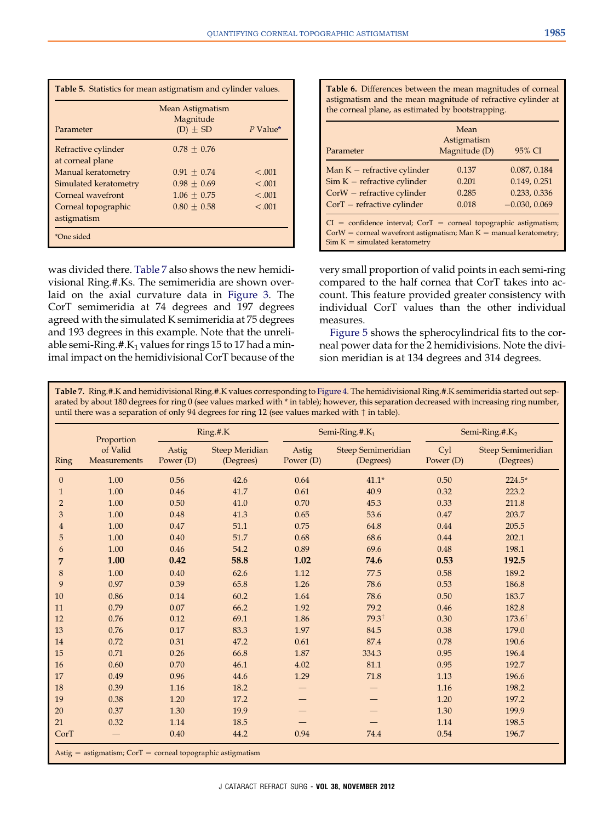<span id="page-7-0"></span>

| <b>Table 5.</b> Statistics for mean astigmatism and cylinder values. |                                               |            |  |  |
|----------------------------------------------------------------------|-----------------------------------------------|------------|--|--|
| Parameter                                                            | Mean Astigmatism<br>Magnitude<br>$(D) \pm SD$ | $P$ Value* |  |  |
| Refractive cylinder<br>at corneal plane                              | $0.78 + 0.76$                                 |            |  |  |
| Manual keratometry                                                   | $0.91 \pm 0.74$                               | $-.001$    |  |  |
| Simulated keratometry                                                | $0.98 \pm 0.69$                               | < 0.001    |  |  |
| Corneal wavefront                                                    | $1.06 \pm 0.75$                               | < 0.001    |  |  |
| Corneal topographic                                                  | $0.80 \pm 0.58$                               | < 0.001    |  |  |
| astigmatism                                                          |                                               |            |  |  |
| *One sided                                                           |                                               |            |  |  |

was divided there. Table 7 also shows the new hemidivisional Ring.#.Ks. The semimeridia are shown overlaid on the axial curvature data in [Figure 3](#page-4-0). The CorT semimeridia at 74 degrees and 197 degrees agreed with the simulated K semimeridia at 75 degrees and 193 degrees in this example. Note that the unreliable semi-Ring.#. $K_1$  values for rings 15 to 17 had a minimal impact on the hemidivisional CorT because of the Table 6. Differences between the mean magnitudes of corneal astigmatism and the mean magnitude of refractive cylinder at the corneal plane, as estimated by bootstrapping.

| Parameter                                                                                                                                                                          | Mean<br>Astigmatism<br>Magnitude (D) | 95% CI          |  |  |
|------------------------------------------------------------------------------------------------------------------------------------------------------------------------------------|--------------------------------------|-----------------|--|--|
| Man $K$ – refractive cylinder                                                                                                                                                      | 0.137                                | 0.087, 0.184    |  |  |
| $Sim K - refractive cylinder$                                                                                                                                                      | 0.201                                | 0.149, 0.251    |  |  |
| $CorW$ – refractive cylinder                                                                                                                                                       | 0.285                                | 0.233, 0.336    |  |  |
| $CorT$ – refractive cylinder                                                                                                                                                       | 0.018                                | $-0.030, 0.069$ |  |  |
| $CI = confidence$ interval; $CorT = corneal topographic$ astigmatism;<br>$CorW = corneal wavefront$ astigmatism; Man $K =$ manual keratometry;<br>$Sim K = simulated keratomicity$ |                                      |                 |  |  |

very small proportion of valid points in each semi-ring compared to the half cornea that CorT takes into account. This feature provided greater consistency with individual CorT values than the other individual measures.

[Figure 5](#page-8-0) shows the spherocylindrical fits to the corneal power data for the 2 hemidivisions. Note the division meridian is at 134 degrees and 314 degrees.

Table 7. Ring.#.K and hemidivisional Ring.#.K values corresponding to [Figure 4.](#page-6-0) The hemidivisional Ring.#.K semimeridia started out separated by about 180 degrees for ring 0 (see values marked with \* in table); however, this separation decreased with increasing ring number, until there was a separation of only 94 degrees for ring 12 (see values marked with  $\dagger$  in table).

|                | Proportion                      |                    | Ring.#.K                           |                    | Semi-Ring.#.K <sub>1</sub>             | Semi-Ring.#. $K2$ |                                        |
|----------------|---------------------------------|--------------------|------------------------------------|--------------------|----------------------------------------|-------------------|----------------------------------------|
| Ring           | of Valid<br><b>Measurements</b> | Astig<br>Power (D) | <b>Steep Meridian</b><br>(Degrees) | Astig<br>Power (D) | <b>Steep Semimeridian</b><br>(Degrees) | Cyl<br>Power (D)  | <b>Steep Semimeridian</b><br>(Degrees) |
| $\theta$       | 1.00                            | 0.56               | 42.6                               | 0.64               | $41.1*$                                | 0.50              | $224.5*$                               |
| $\mathbf{1}$   | 1.00                            | 0.46               | 41.7                               | 0.61               | 40.9                                   | 0.32              | 223.2                                  |
| $\overline{2}$ | 1.00                            | 0.50               | 41.0                               | 0.70               | 45.3                                   | 0.33              | 211.8                                  |
| 3              | 1.00                            | 0.48               | 41.3                               | 0.65               | 53.6                                   | 0.47              | 203.7                                  |
| $\overline{4}$ | 1.00                            | 0.47               | 51.1                               | 0.75               | 64.8                                   | 0.44              | 205.5                                  |
| 5              | 1.00                            | 0.40               | 51.7                               | 0.68               | 68.6                                   | 0.44              | 202.1                                  |
| 6              | 1.00                            | 0.46               | 54.2                               | 0.89               | 69.6                                   | 0.48              | 198.1                                  |
| 7              | 1.00                            | 0.42               | 58.8                               | 1.02               | 74.6                                   | 0.53              | 192.5                                  |
| 8              | 1.00                            | 0.40               | 62.6                               | 1.12               | 77.5                                   | 0.58              | 189.2                                  |
| 9              | 0.97                            | 0.39               | 65.8                               | 1.26               | 78.6                                   | 0.53              | 186.8                                  |
| 10             | 0.86                            | 0.14               | 60.2                               | 1.64               | 78.6                                   | 0.50              | 183.7                                  |
| 11             | 0.79                            | 0.07               | 66.2                               | 1.92               | 79.2                                   | 0.46              | 182.8                                  |
| 12             | 0.76                            | 0.12               | 69.1                               | 1.86               | $79.3^{\dagger}$                       | 0.30              | $173.6^{\dagger}$                      |
| 13             | 0.76                            | 0.17               | 83.3                               | 1.97               | 84.5                                   | 0.38              | 179.0                                  |
| 14             | 0.72                            | 0.31               | 47.2                               | 0.61               | 87.4                                   | 0.78              | 190.6                                  |
| 15             | 0.71                            | 0.26               | 66.8                               | 1.87               | 334.3                                  | 0.95              | 196.4                                  |
| 16             | 0.60                            | 0.70               | 46.1                               | 4.02               | 81.1                                   | 0.95              | 192.7                                  |
| 17             | 0.49                            | 0.96               | 44.6                               | 1.29               | 71.8                                   | 1.13              | 196.6                                  |
| 18             | 0.39                            | 1.16               | 18.2                               |                    |                                        | 1.16              | 198.2                                  |
| 19             | 0.38                            | 1.20               | 17.2                               |                    |                                        | 1.20              | 197.2                                  |
| 20             | 0.37                            | 1.30               | 19.9                               |                    |                                        | 1.30              | 199.9                                  |
| 21             | 0.32                            | 1.14               | 18.5                               |                    |                                        | 1.14              | 198.5                                  |
| CorT           |                                 | 0.40               | 44.2                               | 0.94               | 74.4                                   | 0.54              | 196.7                                  |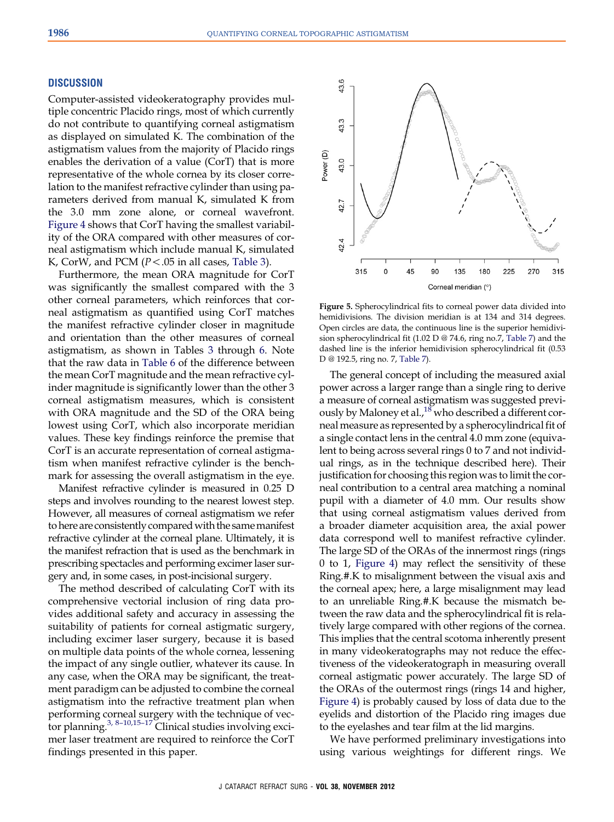#### <span id="page-8-0"></span>**DISCUSSION**

Computer-assisted videokeratography provides multiple concentric Placido rings, most of which currently do not contribute to quantifying corneal astigmatism as displayed on simulated K. The combination of the astigmatism values from the majority of Placido rings enables the derivation of a value (CorT) that is more representative of the whole cornea by its closer correlation to the manifest refractive cylinder than using parameters derived from manual K, simulated K from the 3.0 mm zone alone, or corneal wavefront. [Figure 4](#page-6-0) shows that CorT having the smallest variability of the ORA compared with other measures of corneal astigmatism which include manual K, simulated K, CorW, and PCM ( $P < .05$  in all cases, [Table 3](#page-6-0)).

Furthermore, the mean ORA magnitude for CorT was significantly the smallest compared with the 3 other corneal parameters, which reinforces that corneal astigmatism as quantified using CorT matches the manifest refractive cylinder closer in magnitude and orientation than the other measures of corneal astigmatism, as shown in Tables [3](#page-6-0) through [6](#page-7-0). Note that the raw data in [Table 6](#page-7-0) of the difference between the mean CorT magnitude and the mean refractive cylinder magnitude is significantly lower than the other 3 corneal astigmatism measures, which is consistent with ORA magnitude and the SD of the ORA being lowest using CorT, which also incorporate meridian values. These key findings reinforce the premise that CorT is an accurate representation of corneal astigmatism when manifest refractive cylinder is the benchmark for assessing the overall astigmatism in the eye.

Manifest refractive cylinder is measured in 0.25 D steps and involves rounding to the nearest lowest step. However, all measures of corneal astigmatism we refer to here are consistently compared with the same manifest refractive cylinder at the corneal plane. Ultimately, it is the manifest refraction that is used as the benchmark in prescribing spectacles and performing excimer laser surgery and, in some cases, in post-incisional surgery.

The method described of calculating CorT with its comprehensive vectorial inclusion of ring data provides additional safety and accuracy in assessing the suitability of patients for corneal astigmatic surgery, including excimer laser surgery, because it is based on multiple data points of the whole cornea, lessening the impact of any single outlier, whatever its cause. In any case, when the ORA may be significant, the treatment paradigm can be adjusted to combine the corneal astigmatism into the refractive treatment plan when performing corneal surgery with the technique of vec-tor planning.<sup>3, 8-[10,15](#page-10-0)-17</sup> Clinical studies involving excimer laser treatment are required to reinforce the CorT findings presented in this paper.



Figure 5. Spherocylindrical fits to corneal power data divided into hemidivisions. The division meridian is at 134 and 314 degrees. Open circles are data, the continuous line is the superior hemidivision spherocylindrical fit (1.02 D @ 74.6, ring no.7, [Table 7\)](#page-7-0) and the dashed line is the inferior hemidivision spherocylindrical fit (0.53 D @ 192.5, ring no. 7, [Table 7](#page-7-0)).

The general concept of including the measured axial power across a larger range than a single ring to derive a measure of corneal astigmatism was suggested previously by Maloney et al., $^{18}$  who described a different corneal measure as represented by a spherocylindrical fit of a single contact lens in the central 4.0 mm zone (equivalent to being across several rings 0 to 7 and not individual rings, as in the technique described here). Their justification for choosing this region was to limit the corneal contribution to a central area matching a nominal pupil with a diameter of 4.0 mm. Our results show that using corneal astigmatism values derived from a broader diameter acquisition area, the axial power data correspond well to manifest refractive cylinder. The large SD of the ORAs of the innermost rings (rings 0 to 1, [Figure 4\)](#page-6-0) may reflect the sensitivity of these Ring.#.K to misalignment between the visual axis and the corneal apex; here, a large misalignment may lead to an unreliable Ring.#.K because the mismatch between the raw data and the spherocylindrical fit is relatively large compared with other regions of the cornea. This implies that the central scotoma inherently present in many videokeratographs may not reduce the effectiveness of the videokeratograph in measuring overall corneal astigmatic power accurately. The large SD of the ORAs of the outermost rings (rings 14 and higher, [Figure 4\)](#page-6-0) is probably caused by loss of data due to the eyelids and distortion of the Placido ring images due to the eyelashes and tear film at the lid margins.

We have performed preliminary investigations into using various weightings for different rings. We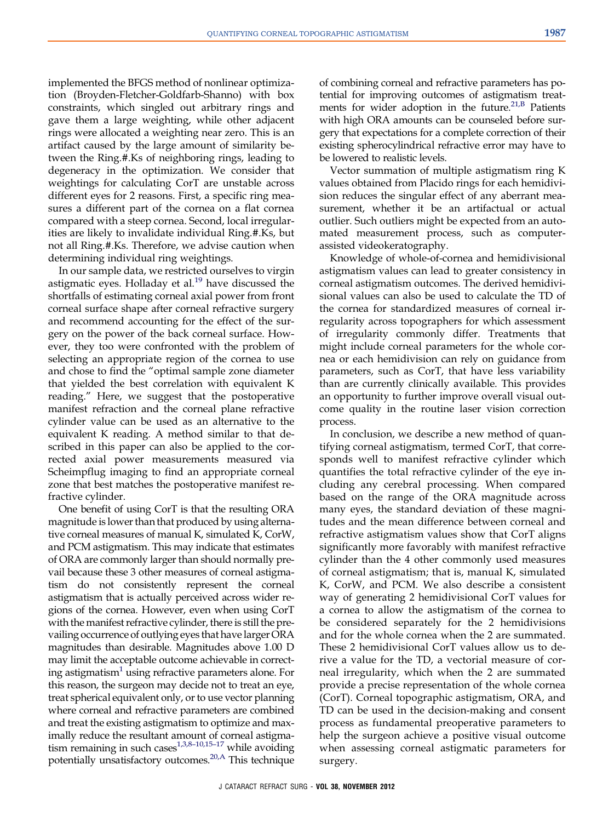implemented the BFGS method of nonlinear optimization (Broyden-Fletcher-Goldfarb-Shanno) with box constraints, which singled out arbitrary rings and gave them a large weighting, while other adjacent rings were allocated a weighting near zero. This is an artifact caused by the large amount of similarity between the Ring.#.Ks of neighboring rings, leading to degeneracy in the optimization. We consider that weightings for calculating CorT are unstable across different eyes for 2 reasons. First, a specific ring measures a different part of the cornea on a flat cornea compared with a steep cornea. Second, local irregularities are likely to invalidate individual Ring.#.Ks, but not all Ring.#.Ks. Therefore, we advise caution when determining individual ring weightings.

In our sample data, we restricted ourselves to virgin astigmatic eyes. Holladay et al. $19$  have discussed the shortfalls of estimating corneal axial power from front corneal surface shape after corneal refractive surgery and recommend accounting for the effect of the surgery on the power of the back corneal surface. However, they too were confronted with the problem of selecting an appropriate region of the cornea to use and chose to find the "optimal sample zone diameter that yielded the best correlation with equivalent K reading." Here, we suggest that the postoperative manifest refraction and the corneal plane refractive cylinder value can be used as an alternative to the equivalent K reading. A method similar to that described in this paper can also be applied to the corrected axial power measurements measured via Scheimpflug imaging to find an appropriate corneal zone that best matches the postoperative manifest refractive cylinder.

One benefit of using CorT is that the resulting ORA magnitude is lower than that produced by using alternative corneal measures of manual K, simulated K, CorW, and PCM astigmatism. This may indicate that estimates of ORA are commonly larger than should normally prevail because these 3 other measures of corneal astigmatism do not consistently represent the corneal astigmatism that is actually perceived across wider regions of the cornea. However, even when using CorT with the manifest refractive cylinder, there is still the prevailing occurrence of outlying eyes that have larger ORA magnitudes than desirable. Magnitudes above 1.00 D may limit the acceptable outcome achievable in correct-ing astigmatism<sup>[1](#page-10-0)</sup> using refractive parameters alone. For this reason, the surgeon may decide not to treat an eye, treat spherical equivalent only, or to use vector planning where corneal and refractive parameters are combined and treat the existing astigmatism to optimize and maximally reduce the resultant amount of corneal astigmatism remaining in such cases $1,3,8-10,15-17$  $1,3,8-10,15-17$  $1,3,8-10,15-17$  while avoiding potentially unsatisfactory outcomes.<sup>20,A</sup> This technique

of combining corneal and refractive parameters has potential for improving outcomes of astigmatism treat-ments for wider adoption in the future.<sup>[21,B](#page-10-0)</sup> Patients with high ORA amounts can be counseled before surgery that expectations for a complete correction of their existing spherocylindrical refractive error may have to be lowered to realistic levels.

Vector summation of multiple astigmatism ring K values obtained from Placido rings for each hemidivision reduces the singular effect of any aberrant measurement, whether it be an artifactual or actual outlier. Such outliers might be expected from an automated measurement process, such as computerassisted videokeratography.

Knowledge of whole-of-cornea and hemidivisional astigmatism values can lead to greater consistency in corneal astigmatism outcomes. The derived hemidivisional values can also be used to calculate the TD of the cornea for standardized measures of corneal irregularity across topographers for which assessment of irregularity commonly differ. Treatments that might include corneal parameters for the whole cornea or each hemidivision can rely on guidance from parameters, such as CorT, that have less variability than are currently clinically available. This provides an opportunity to further improve overall visual outcome quality in the routine laser vision correction process.

In conclusion, we describe a new method of quantifying corneal astigmatism, termed CorT, that corresponds well to manifest refractive cylinder which quantifies the total refractive cylinder of the eye including any cerebral processing. When compared based on the range of the ORA magnitude across many eyes, the standard deviation of these magnitudes and the mean difference between corneal and refractive astigmatism values show that CorT aligns significantly more favorably with manifest refractive cylinder than the 4 other commonly used measures of corneal astigmatism; that is, manual K, simulated K, CorW, and PCM. We also describe a consistent way of generating 2 hemidivisional CorT values for a cornea to allow the astigmatism of the cornea to be considered separately for the 2 hemidivisions and for the whole cornea when the 2 are summated. These 2 hemidivisional CorT values allow us to derive a value for the TD, a vectorial measure of corneal irregularity, which when the 2 are summated provide a precise representation of the whole cornea (CorT). Corneal topographic astigmatism, ORA, and TD can be used in the decision-making and consent process as fundamental preoperative parameters to help the surgeon achieve a positive visual outcome when assessing corneal astigmatic parameters for surgery.